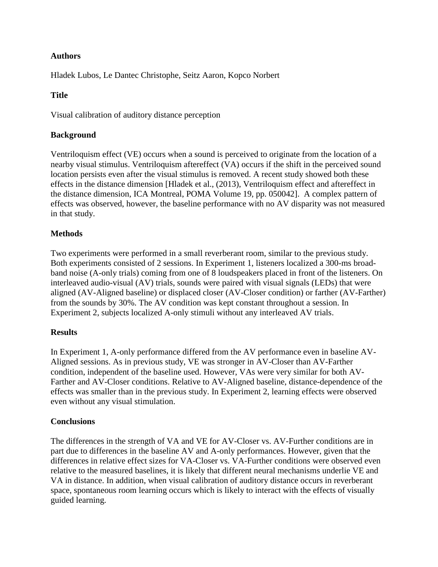# **Authors**

Hladek Lubos, Le Dantec Christophe, Seitz Aaron, Kopco Norbert

# **Title**

Visual calibration of auditory distance perception

### **Background**

Ventriloquism effect (VE) occurs when a sound is perceived to originate from the location of a nearby visual stimulus. Ventriloquism aftereffect (VA) occurs if the shift in the perceived sound location persists even after the visual stimulus is removed. A recent study showed both these effects in the distance dimension [Hladek et al., (2013), Ventriloquism effect and aftereffect in the distance dimension, ICA Montreal, POMA Volume 19, pp. 050042]. A complex pattern of effects was observed, however, the baseline performance with no AV disparity was not measured in that study.

## **Methods**

Two experiments were performed in a small reverberant room, similar to the previous study. Both experiments consisted of 2 sessions. In Experiment 1, listeners localized a 300-ms broadband noise (A-only trials) coming from one of 8 loudspeakers placed in front of the listeners. On interleaved audio-visual (AV) trials, sounds were paired with visual signals (LEDs) that were aligned (AV-Aligned baseline) or displaced closer (AV-Closer condition) or farther (AV-Farther) from the sounds by 30%. The AV condition was kept constant throughout a session. In Experiment 2, subjects localized A-only stimuli without any interleaved AV trials.

### **Results**

In Experiment 1, A-only performance differed from the AV performance even in baseline AV-Aligned sessions. As in previous study, VE was stronger in AV-Closer than AV-Farther condition, independent of the baseline used. However, VAs were very similar for both AV-Farther and AV-Closer conditions. Relative to AV-Aligned baseline, distance-dependence of the effects was smaller than in the previous study. In Experiment 2, learning effects were observed even without any visual stimulation.

### **Conclusions**

The differences in the strength of VA and VE for AV-Closer vs. AV-Further conditions are in part due to differences in the baseline AV and A-only performances. However, given that the differences in relative effect sizes for VA-Closer vs. VA-Further conditions were observed even relative to the measured baselines, it is likely that different neural mechanisms underlie VE and VA in distance. In addition, when visual calibration of auditory distance occurs in reverberant space, spontaneous room learning occurs which is likely to interact with the effects of visually guided learning.